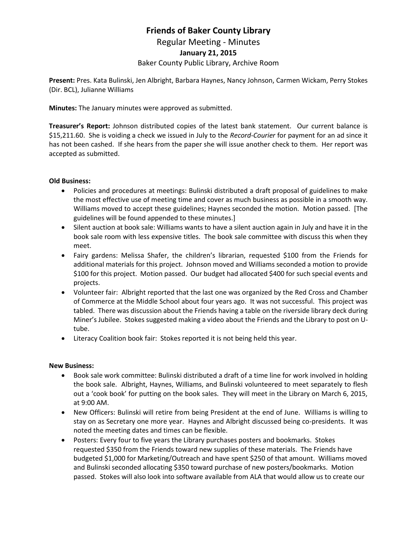# **Friends of Baker County Library**

Regular Meeting - Minutes

## **January 21, 2015**

## Baker County Public Library, Archive Room

**Present:** Pres. Kata Bulinski, Jen Albright, Barbara Haynes, Nancy Johnson, Carmen Wickam, Perry Stokes (Dir. BCL), Julianne Williams

**Minutes:** The January minutes were approved as submitted.

**Treasurer's Report:** Johnson distributed copies of the latest bank statement. Our current balance is \$15,211.60. She is voiding a check we issued in July to the *Record-Courier* for payment for an ad since it has not been cashed. If she hears from the paper she will issue another check to them. Her report was accepted as submitted.

#### **Old Business:**

- Policies and procedures at meetings: Bulinski distributed a draft proposal of guidelines to make the most effective use of meeting time and cover as much business as possible in a smooth way. Williams moved to accept these guidelines; Haynes seconded the motion. Motion passed. [The guidelines will be found appended to these minutes.]
- Silent auction at book sale: Williams wants to have a silent auction again in July and have it in the book sale room with less expensive titles. The book sale committee with discuss this when they meet.
- Fairy gardens: Melissa Shafer, the children's librarian, requested \$100 from the Friends for additional materials for this project. Johnson moved and Williams seconded a motion to provide \$100 for this project. Motion passed. Our budget had allocated \$400 for such special events and projects.
- Volunteer fair: Albright reported that the last one was organized by the Red Cross and Chamber of Commerce at the Middle School about four years ago. It was not successful. This project was tabled. There was discussion about the Friends having a table on the riverside library deck during Miner's Jubilee. Stokes suggested making a video about the Friends and the Library to post on Utube.
- Literacy Coalition book fair: Stokes reported it is not being held this year.

#### **New Business:**

- Book sale work committee: Bulinski distributed a draft of a time line for work involved in holding the book sale. Albright, Haynes, Williams, and Bulinski volunteered to meet separately to flesh out a 'cook book' for putting on the book sales. They will meet in the Library on March 6, 2015, at 9:00 AM.
- New Officers: Bulinski will retire from being President at the end of June. Williams is willing to stay on as Secretary one more year. Haynes and Albright discussed being co-presidents. It was noted the meeting dates and times can be flexible.
- Posters: Every four to five years the Library purchases posters and bookmarks. Stokes requested \$350 from the Friends toward new supplies of these materials. The Friends have budgeted \$1,000 for Marketing/Outreach and have spent \$250 of that amount. Williams moved and Bulinski seconded allocating \$350 toward purchase of new posters/bookmarks. Motion passed. Stokes will also look into software available from ALA that would allow us to create our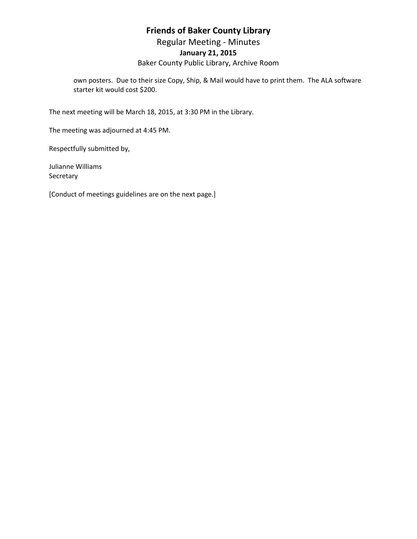# **Friends of Baker County Library**

Regular Meeting - Minutes

## **January 21, 2015**

Baker County Public Library, Archive Room

own posters. Due to their size Copy, Ship, & Mail would have to print them. The ALA software starter kit would cost \$200.

The next meeting will be March 18, 2015, at 3:30 PM in the Library.

The meeting was adjourned at 4:45 PM.

Respectfully submitted by,

Julianne Williams Secretary

[Conduct of meetings guidelines are on the next page.]